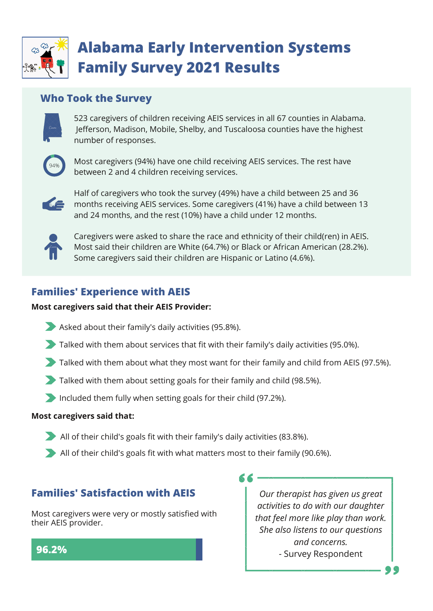

# **Alabama Early Intervention Systems Family Survey 2021 Results**

## **Who Took the Survey**



523 caregivers of children receiving AEIS services in all 67 counties in Alabama. Jefferson, Madison, Mobile, Shelby, and Tuscaloosa counties have the highest number of responses.



Most caregivers (94%) have one child receiving AEIS services. The rest have between 2 and 4 children receiving services.



 and 24 months, and the rest (10%) have a child under 12 months. Half of caregivers who took the survey (49%) have a child between 25 and 36 months receiving AEIS services. Some caregivers (41%) have a child between 13



Caregivers were asked to share the race and ethnicity of their child(ren) in AEIS. Most said their children are White (64.7%) or Black or African American (28.2%). Some caregivers said their children are Hispanic or Latino (4.6%).

# **Families' Experience with AEIS**

#### **Most caregivers said that their AEIS Provider:**

- Asked about their family's daily activities (95.8%).
- Talked with them about services that fit with their family's daily activities (95.0%).
- Talked with them about what they most want for their family and child from AEIS (97.5%).

56 -

- Talked with them about setting goals for their family and child (98.5%).
- Included them fully when setting goals for their child (97.2%).

#### **Most caregivers said that:**

- All of their child's goals fit with their family's daily activities (83.8%).
- All of their child's goals fit with what matters most to their family (90.6%).

# **Families' Satisfaction with AEIS**

Most caregivers were very or mostly satisfied with their AEIS provider.

*Our therapist has given us great activities to do with our daughter that feel more like play than work. She also listens to our questions and concerns.* - Survey Respondent

### **96.2%**